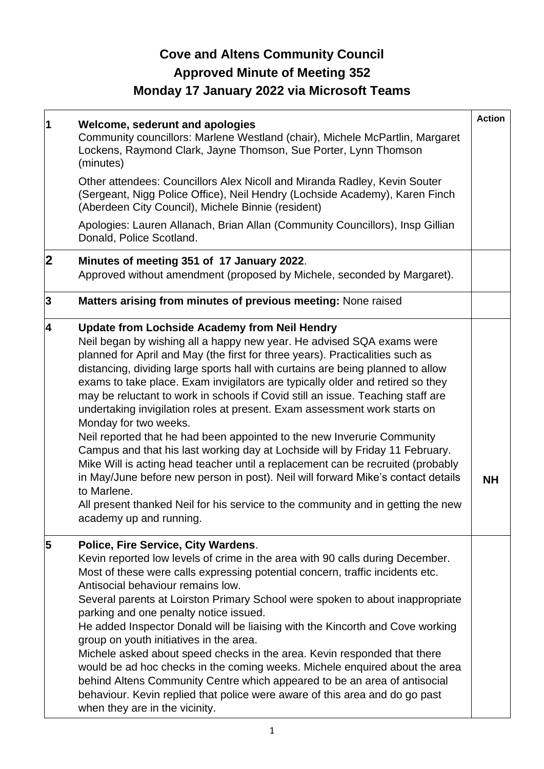# **Cove and Altens Community Council Approved Minute of Meeting 352 Monday 17 January 2022 via Microsoft Teams**

| 1                       | Welcome, sederunt and apologies<br>Community councillors: Marlene Westland (chair), Michele McPartlin, Margaret<br>Lockens, Raymond Clark, Jayne Thomson, Sue Porter, Lynn Thomson<br>(minutes)<br>Other attendees: Councillors Alex Nicoll and Miranda Radley, Kevin Souter<br>(Sergeant, Nigg Police Office), Neil Hendry (Lochside Academy), Karen Finch<br>(Aberdeen City Council), Michele Binnie (resident)<br>Apologies: Lauren Allanach, Brian Allan (Community Councillors), Insp Gillian<br>Donald, Police Scotland.                                                                                                                                                                                                                                                                                                                                                                                                                                                                                                               | <b>Action</b> |
|-------------------------|----------------------------------------------------------------------------------------------------------------------------------------------------------------------------------------------------------------------------------------------------------------------------------------------------------------------------------------------------------------------------------------------------------------------------------------------------------------------------------------------------------------------------------------------------------------------------------------------------------------------------------------------------------------------------------------------------------------------------------------------------------------------------------------------------------------------------------------------------------------------------------------------------------------------------------------------------------------------------------------------------------------------------------------------|---------------|
| $\mathbf 2$             | Minutes of meeting 351 of 17 January 2022.<br>Approved without amendment (proposed by Michele, seconded by Margaret).                                                                                                                                                                                                                                                                                                                                                                                                                                                                                                                                                                                                                                                                                                                                                                                                                                                                                                                        |               |
| 3                       | Matters arising from minutes of previous meeting: None raised                                                                                                                                                                                                                                                                                                                                                                                                                                                                                                                                                                                                                                                                                                                                                                                                                                                                                                                                                                                |               |
| 4                       | <b>Update from Lochside Academy from Neil Hendry</b><br>Neil began by wishing all a happy new year. He advised SQA exams were<br>planned for April and May (the first for three years). Practicalities such as<br>distancing, dividing large sports hall with curtains are being planned to allow<br>exams to take place. Exam invigilators are typically older and retired so they<br>may be reluctant to work in schools if Covid still an issue. Teaching staff are<br>undertaking invigilation roles at present. Exam assessment work starts on<br>Monday for two weeks.<br>Neil reported that he had been appointed to the new Inverurie Community<br>Campus and that his last working day at Lochside will by Friday 11 February.<br>Mike Will is acting head teacher until a replacement can be recruited (probably<br>in May/June before new person in post). Neil will forward Mike's contact details<br>to Marlene.<br>All present thanked Neil for his service to the community and in getting the new<br>academy up and running. | NΗ            |
| $\overline{\mathbf{5}}$ | Police, Fire Service, City Wardens.<br>Kevin reported low levels of crime in the area with 90 calls during December.<br>Most of these were calls expressing potential concern, traffic incidents etc.<br>Antisocial behaviour remains low.<br>Several parents at Loirston Primary School were spoken to about inappropriate<br>parking and one penalty notice issued.<br>He added Inspector Donald will be liaising with the Kincorth and Cove working<br>group on youth initiatives in the area.<br>Michele asked about speed checks in the area. Kevin responded that there<br>would be ad hoc checks in the coming weeks. Michele enquired about the area<br>behind Altens Community Centre which appeared to be an area of antisocial<br>behaviour. Kevin replied that police were aware of this area and do go past<br>when they are in the vicinity.                                                                                                                                                                                   |               |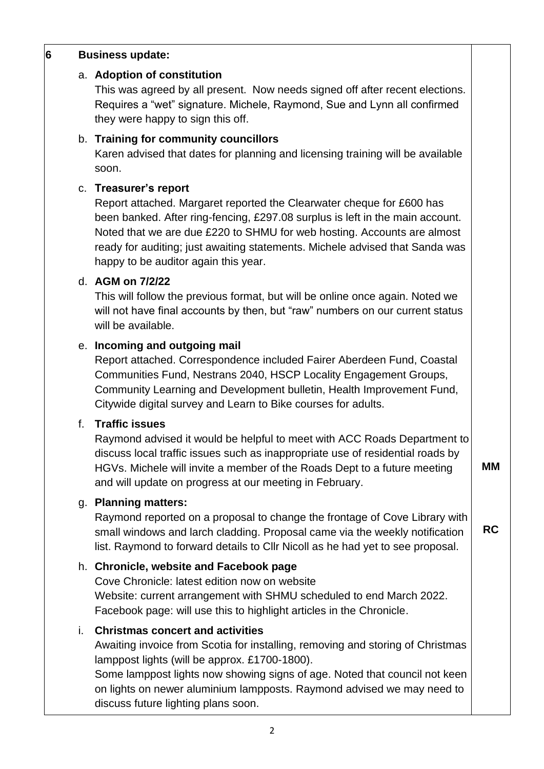## **6 Business update:**

#### a. **Adoption of constitution**

This was agreed by all present. Now needs signed off after recent elections. Requires a "wet" signature. Michele, Raymond, Sue and Lynn all confirmed they were happy to sign this off.

## b. **Training for community councillors**

Karen advised that dates for planning and licensing training will be available soon.

## c. **Treasurer's report**

Report attached. Margaret reported the Clearwater cheque for £600 has been banked. After ring-fencing, £297.08 surplus is left in the main account. Noted that we are due £220 to SHMU for web hosting. Accounts are almost ready for auditing; just awaiting statements. Michele advised that Sanda was happy to be auditor again this year.

## d. **AGM on 7/2/22**

This will follow the previous format, but will be online once again. Noted we will not have final accounts by then, but "raw" numbers on our current status will be available.

## e. **Incoming and outgoing mail**

Report attached. Correspondence included Fairer Aberdeen Fund, Coastal Communities Fund, Nestrans 2040, HSCP Locality Engagement Groups, Community Learning and Development bulletin, Health Improvement Fund, Citywide digital survey and Learn to Bike courses for adults.

## f. **Traffic issues**

Raymond advised it would be helpful to meet with ACC Roads Department to discuss local traffic issues such as inappropriate use of residential roads by HGVs. Michele will invite a member of the Roads Dept to a future meeting and will update on progress at our meeting in February. **MM**

## g. **Planning matters:**

Raymond reported on a proposal to change the frontage of Cove Library with small windows and larch cladding. Proposal came via the weekly notification list. Raymond to forward details to Cllr Nicoll as he had yet to see proposal.

**RC**

## h. **Chronicle, website and Facebook page**

Cove Chronicle: latest edition now on website Website: current arrangement with SHMU scheduled to end March 2022. Facebook page: will use this to highlight articles in the Chronicle.

## i. **Christmas concert and activities**

Awaiting invoice from Scotia for installing, removing and storing of Christmas lamppost lights (will be approx. £1700-1800).

Some lamppost lights now showing signs of age. Noted that council not keen on lights on newer aluminium lampposts. Raymond advised we may need to discuss future lighting plans soon.